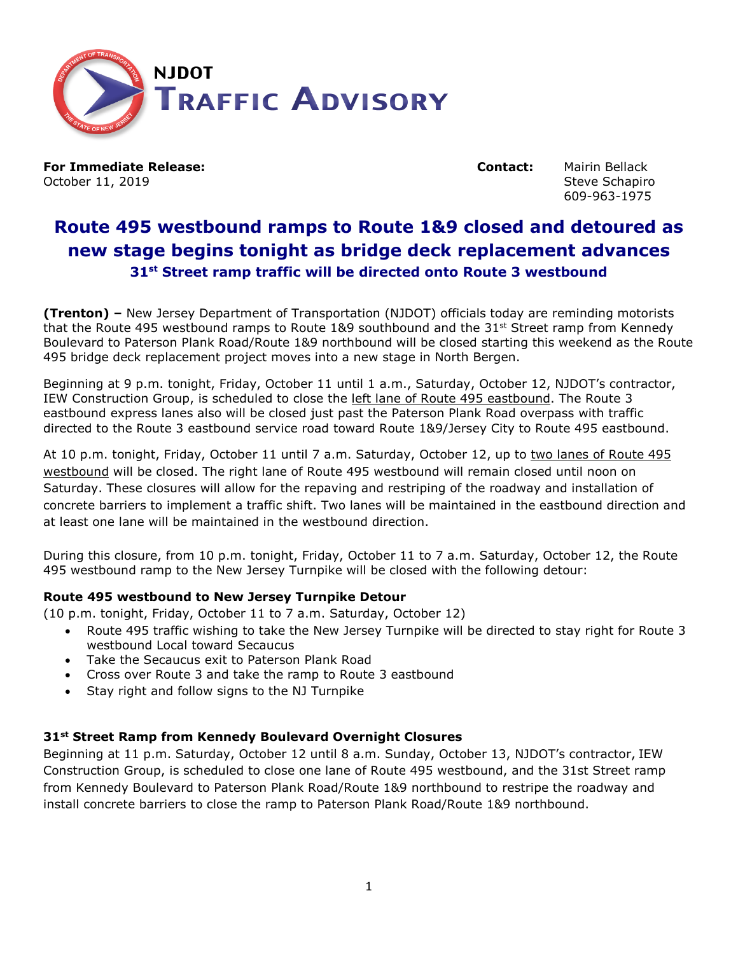

**For Immediate Release: Contact:** Mairin Bellack October 11, 2019 **Steve Schapiro** Steve Schapiro

609-963-1975

# **Route 495 westbound ramps to Route 1&9 closed and detoured as new stage begins tonight as bridge deck replacement advances 31st Street ramp traffic will be directed onto Route 3 westbound**

**(Trenton) –** New Jersey Department of Transportation (NJDOT) officials today are reminding motorists that the Route 495 westbound ramps to Route 1&9 southbound and the  $31^{st}$  Street ramp from Kennedy Boulevard to Paterson Plank Road/Route 1&9 northbound will be closed starting this weekend as the Route 495 bridge deck replacement project moves into a new stage in North Bergen.

Beginning at 9 p.m. tonight, Friday, October 11 until 1 a.m., Saturday, October 12, NJDOT's contractor, IEW Construction Group, is scheduled to close the left lane of Route 495 eastbound. The Route 3 eastbound express lanes also will be closed just past the Paterson Plank Road overpass with traffic directed to the Route 3 eastbound service road toward Route 1&9/Jersey City to Route 495 eastbound.

At 10 p.m. tonight, Friday, October 11 until 7 a.m. Saturday, October 12, up to two lanes of Route 495 westbound will be closed. The right lane of Route 495 westbound will remain closed until noon on Saturday. These closures will allow for the repaving and restriping of the roadway and installation of concrete barriers to implement a traffic shift. Two lanes will be maintained in the eastbound direction and at least one lane will be maintained in the westbound direction.

During this closure, from 10 p.m. tonight, Friday, October 11 to 7 a.m. Saturday, October 12, the Route 495 westbound ramp to the New Jersey Turnpike will be closed with the following detour:

# **Route 495 westbound to New Jersey Turnpike Detour**

(10 p.m. tonight, Friday, October 11 to 7 a.m. Saturday, October 12)

- Route 495 traffic wishing to take the New Jersey Turnpike will be directed to stay right for Route 3 westbound Local toward Secaucus
- Take the Secaucus exit to Paterson Plank Road
- Cross over Route 3 and take the ramp to Route 3 eastbound
- Stay right and follow signs to the NJ Turnpike

## **31st Street Ramp from Kennedy Boulevard Overnight Closures**

Beginning at 11 p.m. Saturday, October 12 until 8 a.m. Sunday, October 13, NJDOT's contractor, IEW Construction Group, is scheduled to close one lane of Route 495 westbound, and the 31st Street ramp from Kennedy Boulevard to Paterson Plank Road/Route 1&9 northbound to restripe the roadway and install concrete barriers to close the ramp to Paterson Plank Road/Route 1&9 northbound.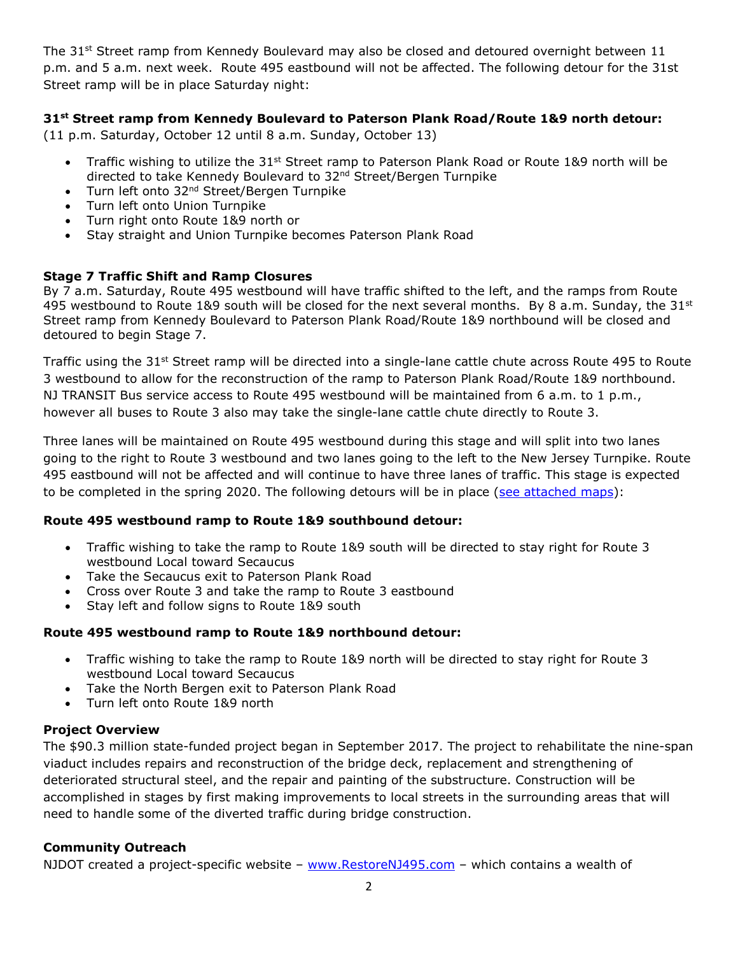The 31st Street ramp from Kennedy Boulevard may also be closed and detoured overnight between 11 p.m. and 5 a.m. next week. Route 495 eastbound will not be affected. The following detour for the 31st Street ramp will be in place Saturday night:

# **31st Street ramp from Kennedy Boulevard to Paterson Plank Road/Route 1&9 north detour:**

(11 p.m. Saturday, October 12 until 8 a.m. Sunday, October 13)

- Traffic wishing to utilize the 31st Street ramp to Paterson Plank Road or Route 1&9 north will be directed to take Kennedy Boulevard to 32nd Street/Bergen Turnpike
- Turn left onto 32<sup>nd</sup> Street/Bergen Turnpike
- Turn left onto Union Turnpike
- Turn right onto Route 1&9 north or
- Stay straight and Union Turnpike becomes Paterson Plank Road

#### **Stage 7 Traffic Shift and Ramp Closures**

By 7 a.m. Saturday, Route 495 westbound will have traffic shifted to the left, and the ramps from Route 495 westbound to Route 1&9 south will be closed for the next several months. By 8 a.m. Sunday, the 31st Street ramp from Kennedy Boulevard to Paterson Plank Road/Route 1&9 northbound will be closed and detoured to begin Stage 7.

Traffic using the  $31<sup>st</sup>$  Street ramp will be directed into a single-lane cattle chute across Route 495 to Route 3 westbound to allow for the reconstruction of the ramp to Paterson Plank Road/Route 1&9 northbound. NJ TRANSIT Bus service access to Route 495 westbound will be maintained from 6 a.m. to 1 p.m., however all buses to Route 3 also may take the single-lane cattle chute directly to Route 3.

Three lanes will be maintained on Route 495 westbound during this stage and will split into two lanes going to the right to Route 3 westbound and two lanes going to the left to the New Jersey Turnpike. Route 495 eastbound will not be affected and will continue to have three lanes of traffic. This stage is expected to be completed in the spring 2020. The following detours will be in place [\(see attached maps\)](https://www.state.nj.us/transportation/about/press/2019/Route_495_wb_rampstoRt1&9detoursStage7.pdf):

## **Route 495 westbound ramp to Route 1&9 southbound detour:**

- Traffic wishing to take the ramp to Route 1&9 south will be directed to stay right for Route 3 westbound Local toward Secaucus
- Take the Secaucus exit to Paterson Plank Road
- Cross over Route 3 and take the ramp to Route 3 eastbound
- Stay left and follow signs to Route 1&9 south

## **Route 495 westbound ramp to Route 1&9 northbound detour:**

- Traffic wishing to take the ramp to Route 1&9 north will be directed to stay right for Route 3 westbound Local toward Secaucus
- Take the North Bergen exit to Paterson Plank Road
- Turn left onto Route 1&9 north

#### **Project Overview**

The \$90.3 million state-funded project began in September 2017. The project to rehabilitate the nine-span viaduct includes repairs and reconstruction of the bridge deck, replacement and strengthening of deteriorated structural steel, and the repair and painting of the substructure. Construction will be accomplished in stages by first making improvements to local streets in the surrounding areas that will need to handle some of the diverted traffic during bridge construction.

#### **Community Outreach**

NJDOT created a project-specific website – [www.RestoreNJ495.com](http://www.restorenj495.com/) – which contains a wealth of